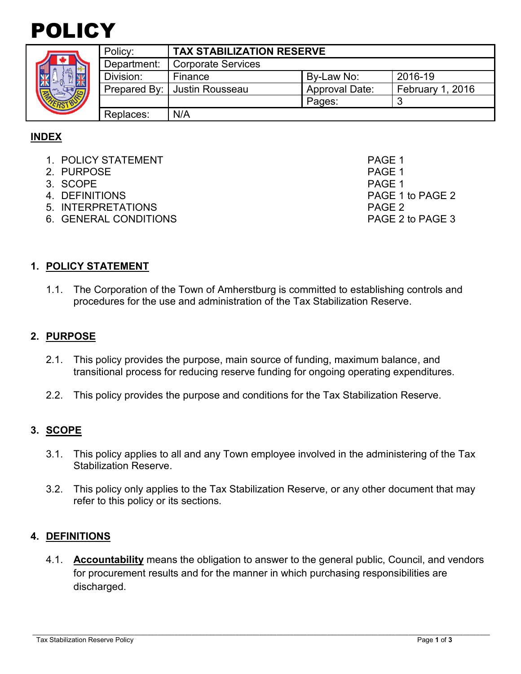

|  | Policy:      | <b>TAX STABILIZATION RESERVE</b> |                       |                  |
|--|--------------|----------------------------------|-----------------------|------------------|
|  | Department:  | <b>Corporate Services</b>        |                       |                  |
|  | Division:    | Finance                          | By-Law No:            | 2016-19          |
|  | Prepared By: | Justin Rousseau                  | <b>Approval Date:</b> | February 1, 2016 |
|  |              |                                  | Pages:                |                  |
|  | Replaces:    | N/A                              |                       |                  |

# **INDEX**

- 1. POLICY STATEMENT And the state of the state of the page 1
- 2. PURPOSE PAGE 1<br>3. SCOPE PAGE 1
- 3. SCOPE
- 
- 5. INTERPRETATIONS PAGE 2
- 6. GENERAL CONDITIONS PAGE 2 to PAGE 3

4. DEFINITIONS PAGE 1 to PAGE 2

## **1. POLICY STATEMENT**

1.1. The Corporation of the Town of Amherstburg is committed to establishing controls and procedures for the use and administration of the Tax Stabilization Reserve.

## **2. PURPOSE**

- 2.1. This policy provides the purpose, main source of funding, maximum balance, and transitional process for reducing reserve funding for ongoing operating expenditures.
- 2.2. This policy provides the purpose and conditions for the Tax Stabilization Reserve.

## **3. SCOPE**

- 3.1. This policy applies to all and any Town employee involved in the administering of the Tax Stabilization Reserve.
- 3.2. This policy only applies to the Tax Stabilization Reserve, or any other document that may refer to this policy or its sections.

#### **4. DEFINITIONS**

4.1. **Accountability** means the obligation to answer to the general public, Council, and vendors for procurement results and for the manner in which purchasing responsibilities are discharged.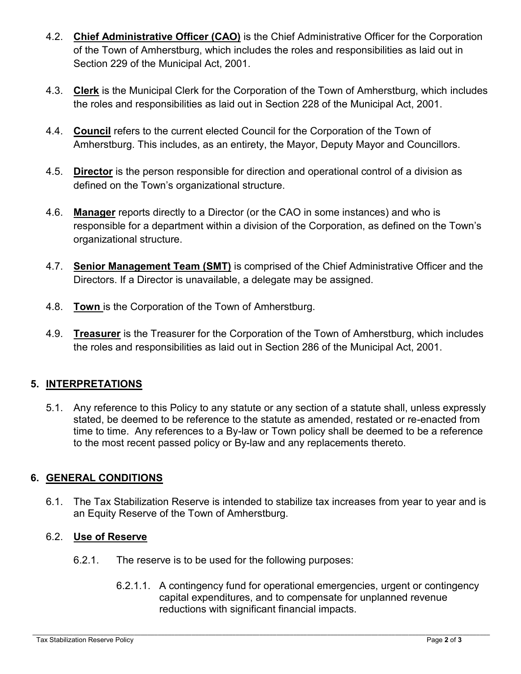- 4.2. **Chief Administrative Officer (CAO)** is the Chief Administrative Officer for the Corporation of the Town of Amherstburg, which includes the roles and responsibilities as laid out in Section 229 of the Municipal Act, 2001.
- 4.3. **Clerk** is the Municipal Clerk for the Corporation of the Town of Amherstburg, which includes the roles and responsibilities as laid out in Section 228 of the Municipal Act, 2001.
- 4.4. **Council** refers to the current elected Council for the Corporation of the Town of Amherstburg. This includes, as an entirety, the Mayor, Deputy Mayor and Councillors.
- 4.5. **Director** is the person responsible for direction and operational control of a division as defined on the Town's organizational structure.
- 4.6. **Manager** reports directly to a Director (or the CAO in some instances) and who is responsible for a department within a division of the Corporation, as defined on the Town's organizational structure.
- 4.7. **Senior Management Team (SMT)** is comprised of the Chief Administrative Officer and the Directors. If a Director is unavailable, a delegate may be assigned.
- 4.8. **Town** is the Corporation of the Town of Amherstburg.
- 4.9. **Treasurer** is the Treasurer for the Corporation of the Town of Amherstburg, which includes the roles and responsibilities as laid out in Section 286 of the Municipal Act, 2001.

# **5. INTERPRETATIONS**

5.1. Any reference to this Policy to any statute or any section of a statute shall, unless expressly stated, be deemed to be reference to the statute as amended, restated or re-enacted from time to time. Any references to a By-law or Town policy shall be deemed to be a reference to the most recent passed policy or By-law and any replacements thereto.

# **6. GENERAL CONDITIONS**

6.1. The Tax Stabilization Reserve is intended to stabilize tax increases from year to year and is an Equity Reserve of the Town of Amherstburg.

## 6.2. **Use of Reserve**

- 6.2.1. The reserve is to be used for the following purposes:
	- 6.2.1.1. A contingency fund for operational emergencies, urgent or contingency capital expenditures, and to compensate for unplanned revenue reductions with significant financial impacts.